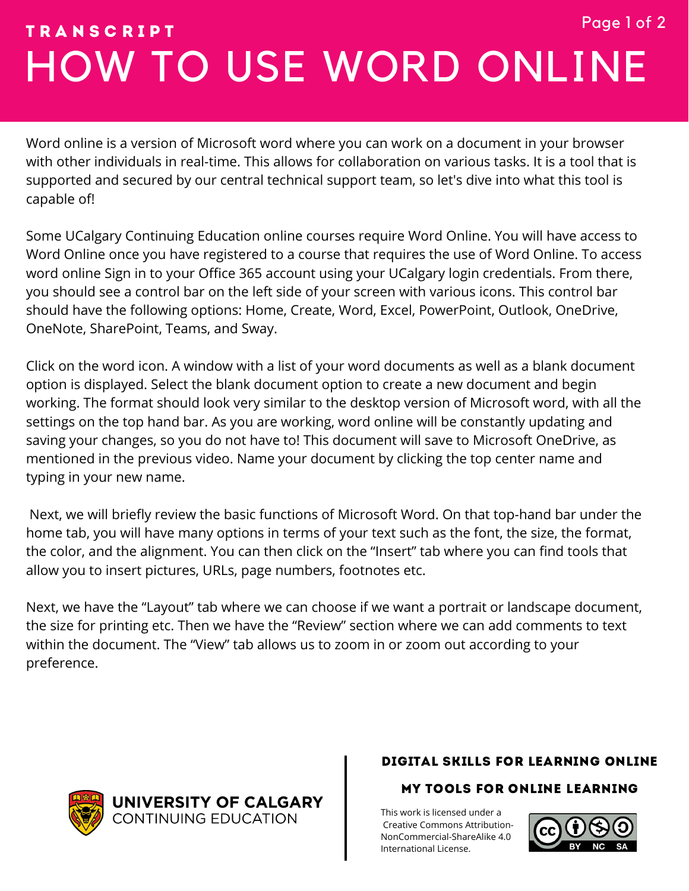# HOW TO USE WORD ONLINE T R A N S C R I P T Page 1 of 2

Word online is a version of Microsoft word where you can work on a document in your browser with other individuals in real-time. This allows for collaboration on various tasks. It is a tool that is supported and secured by our central technical support team, so let's dive into what this tool is capable of!

Some UCalgary Continuing Education online courses require Word Online. You will have access to Word Online once you have registered to a course that requires the use of Word Online. To access word online Sign in to your Office 365 account using your UCalgary login credentials. From there, you should see a control bar on the left side of your screen with various icons. This control bar should have the following options: Home, Create, Word, Excel, PowerPoint, Outlook, OneDrive, OneNote, SharePoint, Teams, and Sway.

Click on the word icon. A window with a list of your word documents as well as a blank document option is displayed. Select the blank document option to create a new document and begin working. The format should look very similar to the desktop version of Microsoft word, with all the settings on the top hand bar. As you are working, word online will be constantly updating and saving your changes, so you do not have to! This document will save to Microsoft OneDrive, as mentioned in the previous video. Name your document by clicking the top center name and typing in your new name.

Next, we will briefly review the basic functions of Microsoft Word. On that top-hand bar under the home tab, you will have many options in terms of your text such as the font, the size, the format, the color, and the alignment. You can then click on the "Insert" tab where you can find tools that allow you to insert pictures, URLs, page numbers, footnotes etc.

Next, we have the "Layout" tab where we can choose if we want a portrait or landscape document, the size for printing etc. Then we have the "Review" section where we can add comments to text within the document. The "View" tab allows us to zoom in or zoom out according to your preference.

UNIVERSITY OF CALGARY **CONTINUING EDUCATION** 

## DIGITAL SKILLS FOR LEARNING ONLINE

### MY TOOLS FOR ONLINE LEARNING

[T](https://creativecommons.org/licenses/by-nc/4.0/)his work is licensed under a Creative Commons Attribution-[NonCommercial-ShareAlike 4.0](https://creativecommons.org/licenses/by-nc/4.0/) International License.